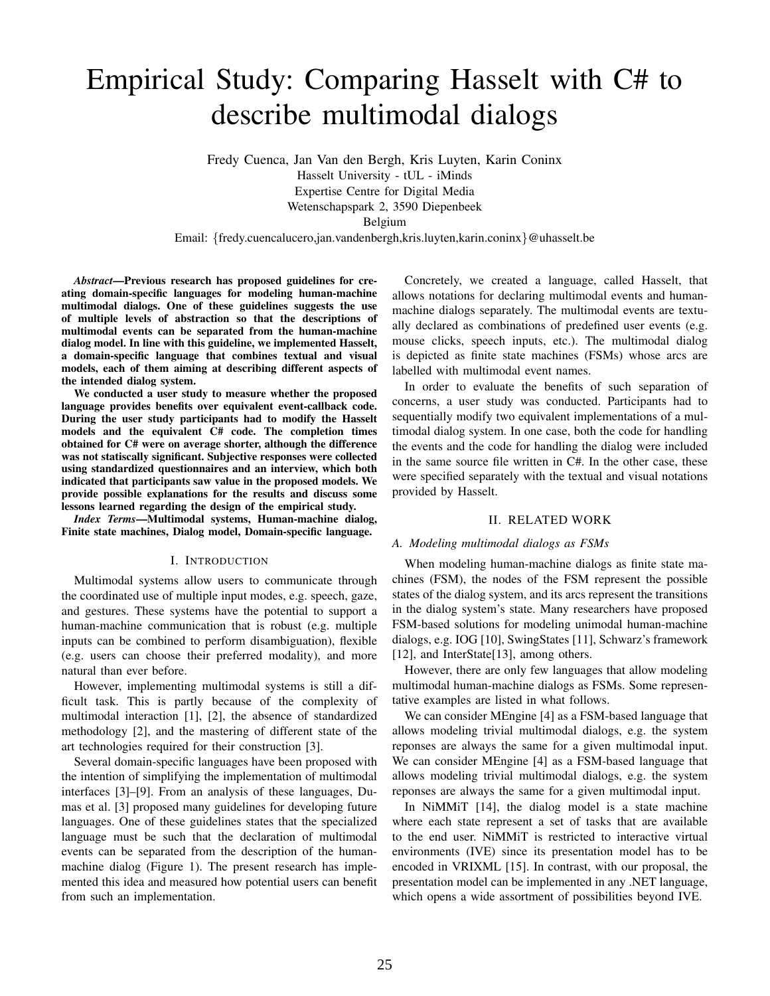# Empirical Study: Comparing Hasselt with C# to describe multimodal dialogs

Fredy Cuenca, Jan Van den Bergh, Kris Luyten, Karin Coninx Hasselt University - tUL - iMinds Expertise Centre for Digital Media

Wetenschapspark 2, 3590 Diepenbeek

Belgium

Email: {fredy.cuencalucero,jan.vandenbergh,kris.luyten,karin.coninx}@uhasselt.be

*Abstract*—Previous research has proposed guidelines for creating domain-specific languages for modeling human-machine multimodal dialogs. One of these guidelines suggests the use of multiple levels of abstraction so that the descriptions of multimodal events can be separated from the human-machine dialog model. In line with this guideline, we implemented Hasselt, a domain-specific language that combines textual and visual models, each of them aiming at describing different aspects of the intended dialog system.

We conducted a user study to measure whether the proposed language provides benefits over equivalent event-callback code. During the user study participants had to modify the Hasselt models and the equivalent C# code. The completion times obtained for C# were on average shorter, although the difference was not statiscally significant. Subjective responses were collected using standardized questionnaires and an interview, which both indicated that participants saw value in the proposed models. We provide possible explanations for the results and discuss some lessons learned regarding the design of the empirical study.

*Index Terms*—Multimodal systems, Human-machine dialog, Finite state machines, Dialog model, Domain-specific language.

#### I. INTRODUCTION

Multimodal systems allow users to communicate through the coordinated use of multiple input modes, e.g. speech, gaze, and gestures. These systems have the potential to support a human-machine communication that is robust (e.g. multiple inputs can be combined to perform disambiguation), flexible (e.g. users can choose their preferred modality), and more natural than ever before.

However, implementing multimodal systems is still a difficult task. This is partly because of the complexity of multimodal interaction [\[1\]](#page-7-0), [\[2\]](#page-7-1), the absence of standardized methodology [\[2\]](#page-7-1), and the mastering of different state of the art technologies required for their construction [\[3\]](#page-7-2).

Several domain-specific languages have been proposed with the intention of simplifying the implementation of multimodal interfaces [\[3\]](#page-7-2)–[\[9\]](#page-7-3). From an analysis of these languages, Dumas et al. [\[3\]](#page-7-2) proposed many guidelines for developing future languages. One of these guidelines states that the specialized language must be such that the declaration of multimodal events can be separated from the description of the humanmachine dialog (Figure [1\)](#page-1-0). The present research has implemented this idea and measured how potential users can benefit from such an implementation.

Concretely, we created a language, called Hasselt, that allows notations for declaring multimodal events and humanmachine dialogs separately. The multimodal events are textually declared as combinations of predefined user events (e.g. mouse clicks, speech inputs, etc.). The multimodal dialog is depicted as finite state machines (FSMs) whose arcs are labelled with multimodal event names.

In order to evaluate the benefits of such separation of concerns, a user study was conducted. Participants had to sequentially modify two equivalent implementations of a multimodal dialog system. In one case, both the code for handling the events and the code for handling the dialog were included in the same source file written in C#. In the other case, these were specified separately with the textual and visual notations provided by Hasselt.

#### II. RELATED WORK

#### *A. Modeling multimodal dialogs as FSMs*

When modeling human-machine dialogs as finite state machines (FSM), the nodes of the FSM represent the possible states of the dialog system, and its arcs represent the transitions in the dialog system's state. Many researchers have proposed FSM-based solutions for modeling unimodal human-machine dialogs, e.g. IOG [\[10\]](#page-7-4), SwingStates [\[11\]](#page-7-5), Schwarz's framework [\[12\]](#page-7-6), and InterState[\[13\]](#page-7-7), among others.

However, there are only few languages that allow modeling multimodal human-machine dialogs as FSMs. Some representative examples are listed in what follows.

We can consider MEngine [\[4\]](#page-7-8) as a FSM-based language that allows modeling trivial multimodal dialogs, e.g. the system reponses are always the same for a given multimodal input. We can consider MEngine [\[4\]](#page-7-8) as a FSM-based language that allows modeling trivial multimodal dialogs, e.g. the system reponses are always the same for a given multimodal input.

In NiMMiT [\[14\]](#page-7-9), the dialog model is a state machine where each state represent a set of tasks that are available to the end user. NiMMiT is restricted to interactive virtual environments (IVE) since its presentation model has to be encoded in VRIXML [\[15\]](#page-7-10). In contrast, with our proposal, the presentation model can be implemented in any .NET language, which opens a wide assortment of possibilities beyond IVE.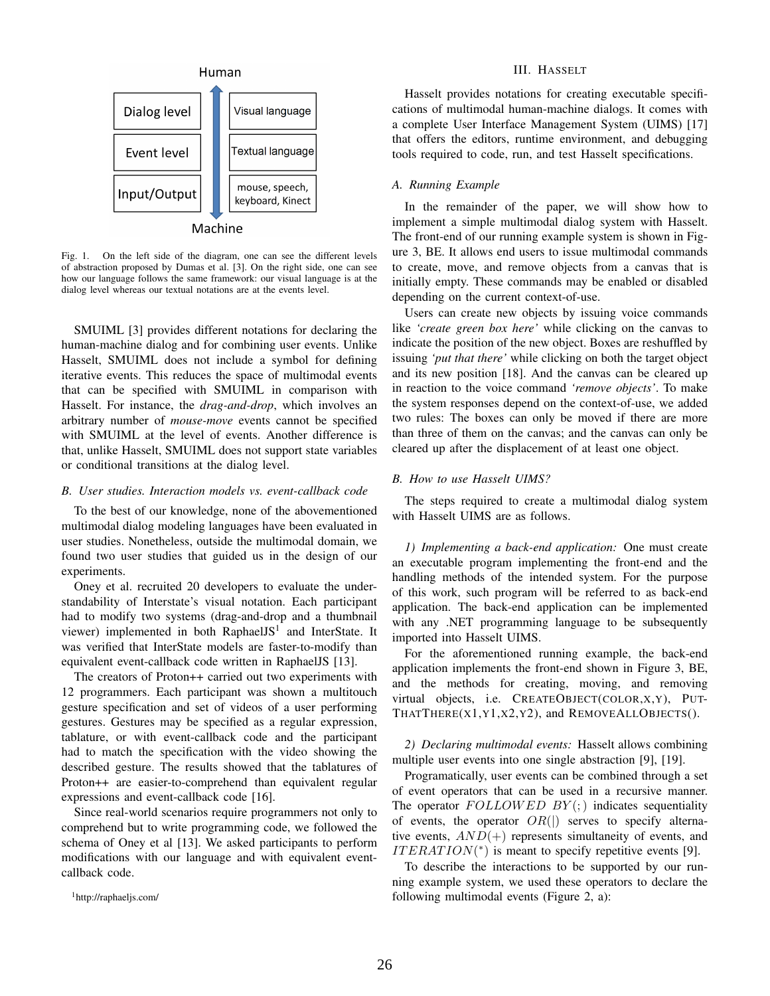

<span id="page-1-0"></span>Fig. 1. On the left side of the diagram, one can see the different levels of abstraction proposed by Dumas et al. [\[3\]](#page-7-2). On the right side, one can see how our language follows the same framework: our visual language is at the dialog level whereas our textual notations are at the events level.

SMUIML [\[3\]](#page-7-2) provides different notations for declaring the human-machine dialog and for combining user events. Unlike Hasselt, SMUIML does not include a symbol for defining iterative events. This reduces the space of multimodal events that can be specified with SMUIML in comparison with Hasselt. For instance, the *drag-and-drop*, which involves an arbitrary number of *mouse-move* events cannot be specified with SMUIML at the level of events. Another difference is that, unlike Hasselt, SMUIML does not support state variables or conditional transitions at the dialog level.

# *B. User studies. Interaction models vs. event-callback code*

To the best of our knowledge, none of the abovementioned multimodal dialog modeling languages have been evaluated in user studies. Nonetheless, outside the multimodal domain, we found two user studies that guided us in the design of our experiments.

Oney et al. recruited 20 developers to evaluate the understandability of Interstate's visual notation. Each participant had to modify two systems (drag-and-drop and a thumbnail viewer) implemented in both RaphaelJS<sup>[1](#page-1-1)</sup> and InterState. It was verified that InterState models are faster-to-modify than equivalent event-callback code written in RaphaelJS [\[13\]](#page-7-7).

The creators of Proton++ carried out two experiments with 12 programmers. Each participant was shown a multitouch gesture specification and set of videos of a user performing gestures. Gestures may be specified as a regular expression, tablature, or with event-callback code and the participant had to match the specification with the video showing the described gesture. The results showed that the tablatures of Proton++ are easier-to-comprehend than equivalent regular expressions and event-callback code [\[16\]](#page-7-11).

Since real-world scenarios require programmers not only to comprehend but to write programming code, we followed the schema of Oney et al [\[13\]](#page-7-7). We asked participants to perform modifications with our language and with equivalent eventcallback code.

<span id="page-1-1"></span><sup>1</sup><http://raphaeljs.com/>

### III. HASSELT

Hasselt provides notations for creating executable specifications of multimodal human-machine dialogs. It comes with a complete User Interface Management System (UIMS) [\[17\]](#page-7-12) that offers the editors, runtime environment, and debugging tools required to code, run, and test Hasselt specifications.

# *A. Running Example*

In the remainder of the paper, we will show how to implement a simple multimodal dialog system with Hasselt. The front-end of our running example system is shown in Figure [3,](#page-2-0) BE. It allows end users to issue multimodal commands to create, move, and remove objects from a canvas that is initially empty. These commands may be enabled or disabled depending on the current context-of-use.

Users can create new objects by issuing voice commands like *'create green box here'* while clicking on the canvas to indicate the position of the new object. Boxes are reshuffled by issuing *'put that there'* while clicking on both the target object and its new position [\[18\]](#page-7-13). And the canvas can be cleared up in reaction to the voice command *'remove objects'*. To make the system responses depend on the context-of-use, we added two rules: The boxes can only be moved if there are more than three of them on the canvas; and the canvas can only be cleared up after the displacement of at least one object.

## *B. How to use Hasselt UIMS?*

The steps required to create a multimodal dialog system with Hasselt UIMS are as follows.

*1) Implementing a back-end application:* One must create an executable program implementing the front-end and the handling methods of the intended system. For the purpose of this work, such program will be referred to as back-end application. The back-end application can be implemented with any .NET programming language to be subsequently imported into Hasselt UIMS.

For the aforementioned running example, the back-end application implements the front-end shown in Figure [3,](#page-2-0) BE, and the methods for creating, moving, and removing virtual objects, i.e. CREATEOBJECT(COLOR,X,Y), PUT-THATTHERE(X1,Y1,X2,Y2), and REMOVEALLOBJECTS().

*2) Declaring multimodal events:* Hasselt allows combining multiple user events into one single abstraction [\[9\]](#page-7-3), [\[19\]](#page-7-14).

Programatically, user events can be combined through a set of event operators that can be used in a recursive manner. The operator  $FOLLOWED BY$ ; indicates sequentiality of events, the operator  $OR($ ) serves to specify alternative events,  $AND(+)$  represents simultaneity of events, and  $ITERATION(*)$  is meant to specify repetitive events [\[9\]](#page-7-3).

To describe the interactions to be supported by our running example system, we used these operators to declare the following multimodal events (Figure [2,](#page-2-1) a):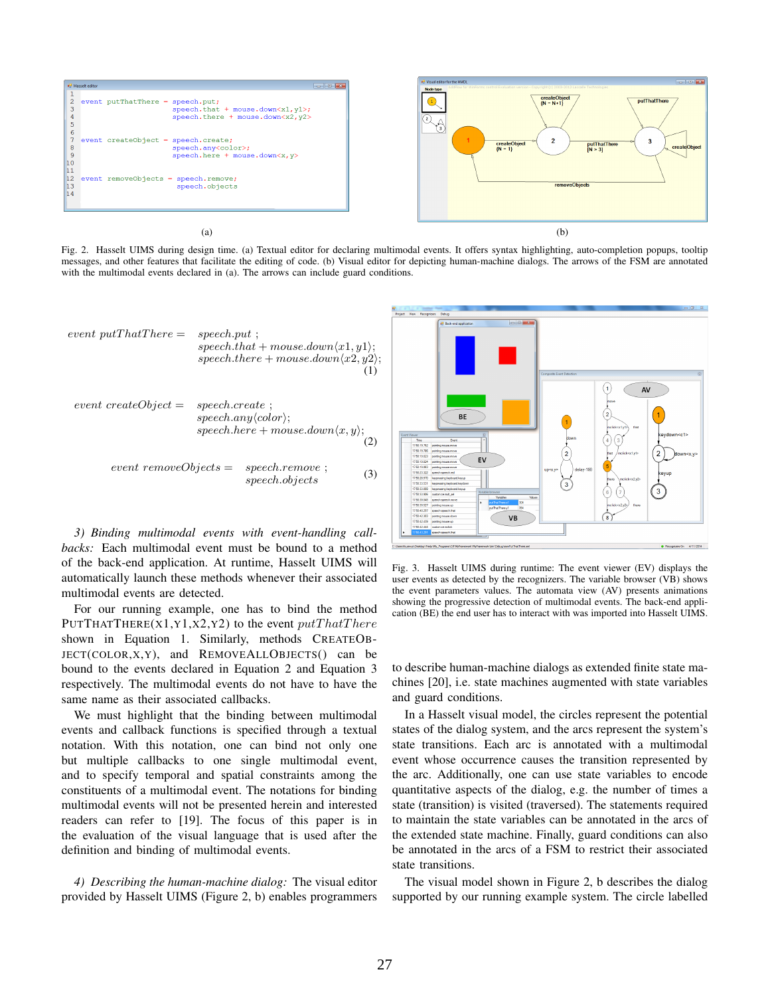

<span id="page-2-1"></span>Fig. 2. Hasselt UIMS during design time. (a) Textual editor for declaring multimodal events. It offers syntax highlighting, auto-completion popups, tooltip messages, and other features that facilitate the editing of code. (b) Visual editor for depicting human-machine dialogs. The arrows of the FSM are annotated with the multimodal events declared in (a). The arrows can include guard conditions.

<span id="page-2-3"></span><span id="page-2-2"></span>event putThatThere = 
$$
speech.put
$$
;

\n $speech.that + mouse-down \langle x1, y1 \rangle$ ;

\n $speech.there + mouse-down \langle x2, y2 \rangle$ ;

\nevent createObject =  $speech.create$ ;

\n $speech.new \langle color \rangle$ ;

\n $speech.here + mouse-down \langle x, y \rangle$ ;

\n(2)

\nevent removeObject =  $speech.remove$ ;

\n $speedh. objects$ 

\n(3)

<span id="page-2-4"></span>*3) Binding multimodal events with event-handling callbacks:* Each multimodal event must be bound to a method of the back-end application. At runtime, Hasselt UIMS will automatically launch these methods whenever their associated multimodal events are detected.

For our running example, one has to bind the method PUTTHATTHERE(X1,Y1,X2,Y2) to the event  $putThat There$ shown in Equation [1.](#page-2-2) Similarly, methods CREATEOB-JECT(COLOR,X,Y), and REMOVEALLOBJECTS() can be bound to the events declared in Equation [2](#page-2-3) and Equation [3](#page-2-4) respectively. The multimodal events do not have to have the same name as their associated callbacks.

We must highlight that the binding between multimodal events and callback functions is specified through a textual notation. With this notation, one can bind not only one but multiple callbacks to one single multimodal event, and to specify temporal and spatial constraints among the constituents of a multimodal event. The notations for binding multimodal events will not be presented herein and interested readers can refer to [\[19\]](#page-7-14). The focus of this paper is in the evaluation of the visual language that is used after the definition and binding of multimodal events.

*4) Describing the human-machine dialog:* The visual editor provided by Hasselt UIMS (Figure [2,](#page-2-1) b) enables programmers



<span id="page-2-0"></span>Fig. 3. Hasselt UIMS during runtime: The event viewer (EV) displays the user events as detected by the recognizers. The variable browser (VB) shows the event parameters values. The automata view (AV) presents animations showing the progressive detection of multimodal events. The back-end application (BE) the end user has to interact with was imported into Hasselt UIMS.

to describe human-machine dialogs as extended finite state machines [\[20\]](#page-7-15), i.e. state machines augmented with state variables and guard conditions.

In a Hasselt visual model, the circles represent the potential states of the dialog system, and the arcs represent the system's state transitions. Each arc is annotated with a multimodal event whose occurrence causes the transition represented by the arc. Additionally, one can use state variables to encode quantitative aspects of the dialog, e.g. the number of times a state (transition) is visited (traversed). The statements required to maintain the state variables can be annotated in the arcs of the extended state machine. Finally, guard conditions can also be annotated in the arcs of a FSM to restrict their associated state transitions.

The visual model shown in Figure [2,](#page-2-1) b describes the dialog supported by our running example system. The circle labelled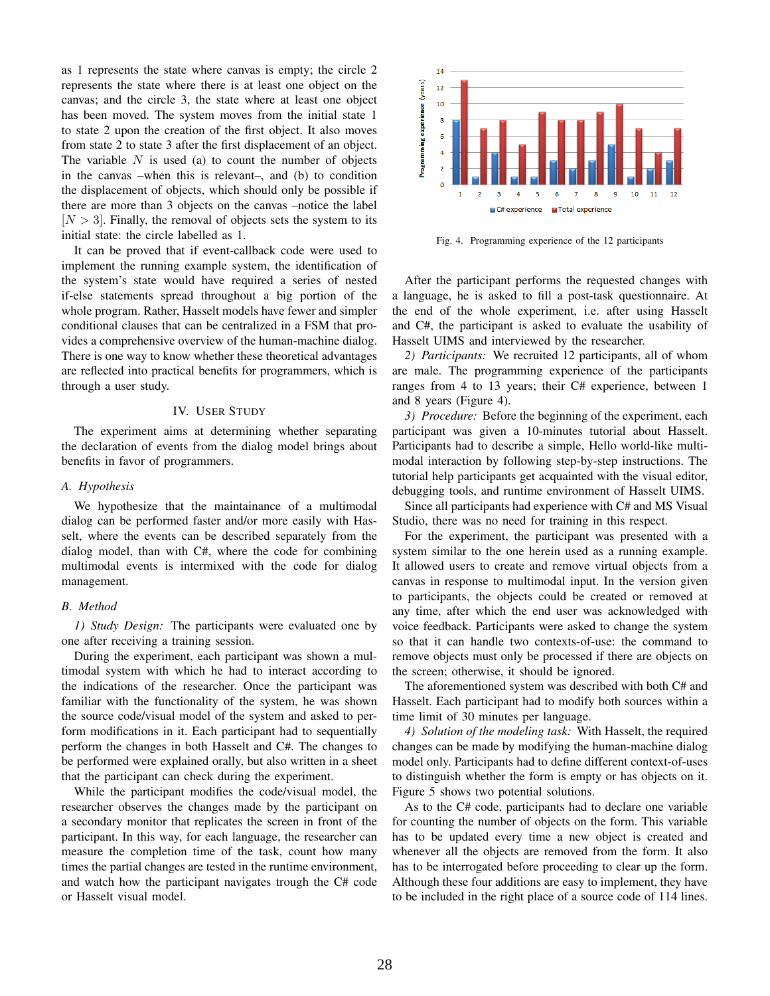as 1 represents the state where canvas is empty; the circle 2 represents the state where there is at least one object on the canvas; and the circle 3, the state where at least one object has been moved. The system moves from the initial state 1 to state 2 upon the creation of the first object. It also moves from state 2 to state 3 after the first displacement of an object. The variable  $N$  is used (a) to count the number of objects in the canvas –when this is relevant–, and (b) to condition the displacement of objects, which should only be possible if there are more than 3 objects on the canvas –notice the label  $[N > 3]$ . Finally, the removal of objects sets the system to its initial state: the circle labelled as 1.

It can be proved that if event-callback code were used to implement the running example system, the identification of the system's state would have required a series of nested if-else statements spread throughout a big portion of the whole program. Rather, Hasselt models have fewer and simpler conditional clauses that can be centralized in a FSM that provides a comprehensive overview of the human-machine dialog. There is one way to know whether these theoretical advantages are reflected into practical benefits for programmers, which is through a user study.

#### IV. USER STUDY

The experiment aims at determining whether separating the declaration of events from the dialog model brings about benefits in favor of programmers.

#### *A. Hypothesis*

We hypothesize that the maintainance of a multimodal dialog can be performed faster and/or more easily with Hasselt, where the events can be described separately from the dialog model, than with C#, where the code for combining multimodal events is intermixed with the code for dialog management.

#### *B. Method*

*1) Study Design:* The participants were evaluated one by one after receiving a training session.

During the experiment, each participant was shown a multimodal system with which he had to interact according to the indications of the researcher. Once the participant was familiar with the functionality of the system, he was shown the source code/visual model of the system and asked to perform modifications in it. Each participant had to sequentially perform the changes in both Hasselt and C#. The changes to be performed were explained orally, but also written in a sheet that the participant can check during the experiment.

While the participant modifies the code/visual model, the researcher observes the changes made by the participant on a secondary monitor that replicates the screen in front of the participant. In this way, for each language, the researcher can measure the completion time of the task, count how many times the partial changes are tested in the runtime environment, and watch how the participant navigates trough the C# code or Hasselt visual model.



<span id="page-3-0"></span>Fig. 4. Programming experience of the 12 participants

After the participant performs the requested changes with a language, he is asked to fill a post-task questionnaire. At the end of the whole experiment, i.e. after using Hasselt and C#, the participant is asked to evaluate the usability of Hasselt UIMS and interviewed by the researcher.

*2) Participants:* We recruited 12 participants, all of whom are male. The programming experience of the participants ranges from 4 to 13 years; their C# experience, between 1 and 8 years (Figure [4\)](#page-3-0).

*3) Procedure:* Before the beginning of the experiment, each participant was given a 10-minutes tutorial about Hasselt. Participants had to describe a simple, Hello world-like multimodal interaction by following step-by-step instructions. The tutorial help participants get acquainted with the visual editor, debugging tools, and runtime environment of Hasselt UIMS.

Since all participants had experience with C# and MS Visual Studio, there was no need for training in this respect.

For the experiment, the participant was presented with a system similar to the one herein used as a running example. It allowed users to create and remove virtual objects from a canvas in response to multimodal input. In the version given to participants, the objects could be created or removed at any time, after which the end user was acknowledged with voice feedback. Participants were asked to change the system so that it can handle two contexts-of-use: the command to remove objects must only be processed if there are objects on the screen; otherwise, it should be ignored.

The aforementioned system was described with both C# and Hasselt. Each participant had to modify both sources within a time limit of 30 minutes per language.

*4) Solution of the modeling task:* With Hasselt, the required changes can be made by modifying the human-machine dialog model only. Participants had to define different context-of-uses to distinguish whether the form is empty or has objects on it. Figure [5](#page-4-0) shows two potential solutions.

As to the C# code, participants had to declare one variable for counting the number of objects on the form. This variable has to be updated every time a new object is created and whenever all the objects are removed from the form. It also has to be interrogated before proceeding to clear up the form. Although these four additions are easy to implement, they have to be included in the right place of a source code of 114 lines.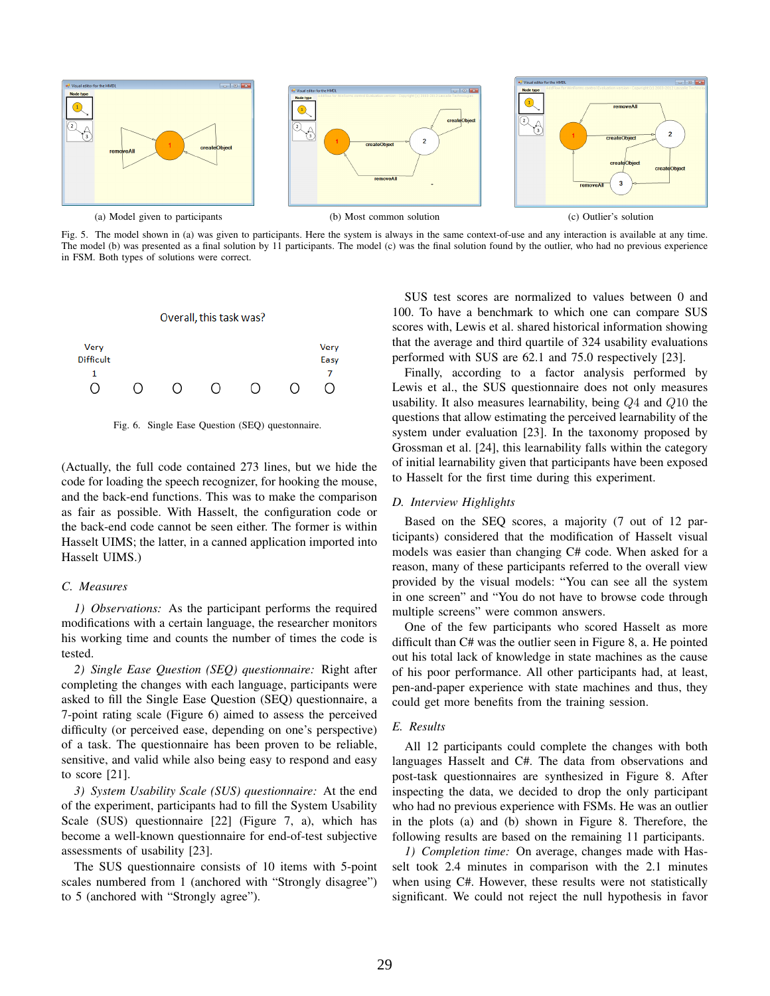

<span id="page-4-0"></span>Fig. 5. The model shown in (a) was given to participants. Here the system is always in the same context-of-use and any interaction is available at any time. The model (b) was presented as a final solution by 11 participants. The model (c) was the final solution found by the outlier, who had no previous experience in FSM. Both types of solutions were correct.

#### Overall, this task was?



<span id="page-4-1"></span>Fig. 6. Single Ease Question (SEQ) questonnaire.

(Actually, the full code contained 273 lines, but we hide the code for loading the speech recognizer, for hooking the mouse, and the back-end functions. This was to make the comparison as fair as possible. With Hasselt, the configuration code or the back-end code cannot be seen either. The former is within Hasselt UIMS; the latter, in a canned application imported into Hasselt UIMS.)

## *C. Measures*

*1) Observations:* As the participant performs the required modifications with a certain language, the researcher monitors his working time and counts the number of times the code is tested.

*2) Single Ease Question (SEQ) questionnaire:* Right after completing the changes with each language, participants were asked to fill the Single Ease Question (SEQ) questionnaire, a 7-point rating scale (Figure [6\)](#page-4-1) aimed to assess the perceived difficulty (or perceived ease, depending on one's perspective) of a task. The questionnaire has been proven to be reliable, sensitive, and valid while also being easy to respond and easy to score [\[21\]](#page-7-16).

*3) System Usability Scale (SUS) questionnaire:* At the end of the experiment, participants had to fill the System Usability Scale (SUS) questionnaire [\[22\]](#page-7-17) (Figure [7,](#page-5-0) a), which has become a well-known questionnaire for end-of-test subjective assessments of usability [\[23\]](#page-7-18).

The SUS questionnaire consists of 10 items with 5-point scales numbered from 1 (anchored with "Strongly disagree") to 5 (anchored with "Strongly agree").

SUS test scores are normalized to values between 0 and 100. To have a benchmark to which one can compare SUS scores with, Lewis et al. shared historical information showing that the average and third quartile of 324 usability evaluations performed with SUS are 62.1 and 75.0 respectively [\[23\]](#page-7-18).

Finally, according to a factor analysis performed by Lewis et al., the SUS questionnaire does not only measures usability. It also measures learnability, being Q4 and Q10 the questions that allow estimating the perceived learnability of the system under evaluation [\[23\]](#page-7-18). In the taxonomy proposed by Grossman et al. [\[24\]](#page-7-19), this learnability falls within the category of initial learnability given that participants have been exposed to Hasselt for the first time during this experiment.

# *D. Interview Highlights*

Based on the SEQ scores, a majority (7 out of 12 participants) considered that the modification of Hasselt visual models was easier than changing C# code. When asked for a reason, many of these participants referred to the overall view provided by the visual models: "You can see all the system in one screen" and "You do not have to browse code through multiple screens" were common answers.

One of the few participants who scored Hasselt as more difficult than C# was the outlier seen in Figure [8,](#page-6-0) a. He pointed out his total lack of knowledge in state machines as the cause of his poor performance. All other participants had, at least, pen-and-paper experience with state machines and thus, they could get more benefits from the training session.

# *E. Results*

All 12 participants could complete the changes with both languages Hasselt and C#. The data from observations and post-task questionnaires are synthesized in Figure [8.](#page-6-0) After inspecting the data, we decided to drop the only participant who had no previous experience with FSMs. He was an outlier in the plots (a) and (b) shown in Figure [8.](#page-6-0) Therefore, the following results are based on the remaining 11 participants.

*1) Completion time:* On average, changes made with Hasselt took 2.4 minutes in comparison with the 2.1 minutes when using C#. However, these results were not statistically significant. We could not reject the null hypothesis in favor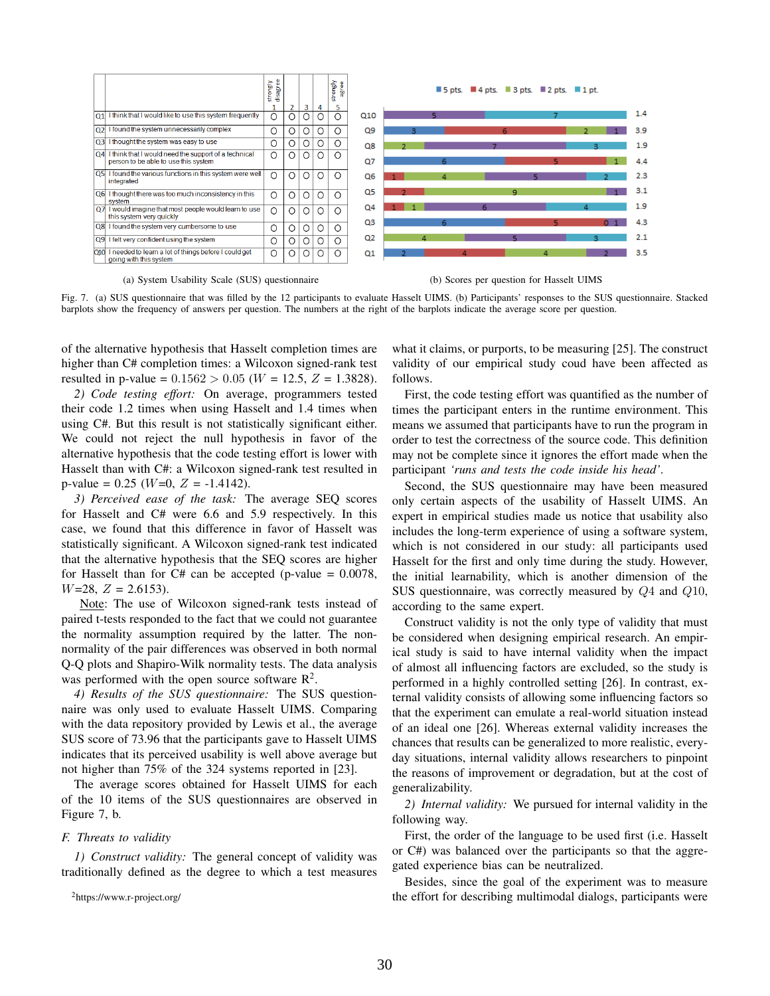

<span id="page-5-0"></span>(a) System Usability Scale (SUS) questionnaire (b) Scores per question for Hasselt UIMS



Fig. 7. (a) SUS questionnaire that was filled by the 12 participants to evaluate Hasselt UIMS. (b) Participants' responses to the SUS questionnaire. Stacked barplots show the frequency of answers per question. The numbers at the right of the barplots indicate the average score per question.

of the alternative hypothesis that Hasselt completion times are higher than C# completion times: a Wilcoxon signed-rank test resulted in p-value =  $0.1562 > 0.05$  (W = 12.5, Z = 1.3828).

*2) Code testing effort:* On average, programmers tested their code 1.2 times when using Hasselt and 1.4 times when using C#. But this result is not statistically significant either. We could not reject the null hypothesis in favor of the alternative hypothesis that the code testing effort is lower with Hasselt than with C#: a Wilcoxon signed-rank test resulted in p-value =  $0.25$  (*W*=0, *Z* = -1.4142).

*3) Perceived ease of the task:* The average SEQ scores for Hasselt and C# were 6.6 and 5.9 respectively. In this case, we found that this difference in favor of Hasselt was statistically significant. A Wilcoxon signed-rank test indicated that the alternative hypothesis that the SEQ scores are higher for Hasselt than for  $C#$  can be accepted (p-value = 0.0078,  $W=28$ ,  $Z = 2.6153$ ).

Note: The use of Wilcoxon signed-rank tests instead of paired t-tests responded to the fact that we could not guarantee the normality assumption required by the latter. The nonnormality of the pair differences was observed in both normal Q-Q plots and Shapiro-Wilk normality tests. The data analysis was performed with the open source software  $\mathbb{R}^2$  $\mathbb{R}^2$ .

*4) Results of the SUS questionnaire:* The SUS questionnaire was only used to evaluate Hasselt UIMS. Comparing with the data repository provided by Lewis et al., the average SUS score of 73.96 that the participants gave to Hasselt UIMS indicates that its perceived usability is well above average but not higher than 75% of the 324 systems reported in [\[23\]](#page-7-18).

The average scores obtained for Hasselt UIMS for each of the 10 items of the SUS questionnaires are observed in Figure [7,](#page-5-0) b.

#### *F. Threats to validity*

*1) Construct validity:* The general concept of validity was traditionally defined as the degree to which a test measures

what it claims, or purports, to be measuring [\[25\]](#page-7-20). The construct validity of our empirical study coud have been affected as follows.

First, the code testing effort was quantified as the number of times the participant enters in the runtime environment. This means we assumed that participants have to run the program in order to test the correctness of the source code. This definition may not be complete since it ignores the effort made when the participant *'runs and tests the code inside his head'*.

Second, the SUS questionnaire may have been measured only certain aspects of the usability of Hasselt UIMS. An expert in empirical studies made us notice that usability also includes the long-term experience of using a software system, which is not considered in our study: all participants used Hasselt for the first and only time during the study. However, the initial learnability, which is another dimension of the SUS questionnaire, was correctly measured by Q4 and Q10, according to the same expert.

Construct validity is not the only type of validity that must be considered when designing empirical research. An empirical study is said to have internal validity when the impact of almost all influencing factors are excluded, so the study is performed in a highly controlled setting [\[26\]](#page-7-21). In contrast, external validity consists of allowing some influencing factors so that the experiment can emulate a real-world situation instead of an ideal one [\[26\]](#page-7-21). Whereas external validity increases the chances that results can be generalized to more realistic, everyday situations, internal validity allows researchers to pinpoint the reasons of improvement or degradation, but at the cost of generalizability.

*2) Internal validity:* We pursued for internal validity in the following way.

First, the order of the language to be used first (i.e. Hasselt or C#) was balanced over the participants so that the aggregated experience bias can be neutralized.

Besides, since the goal of the experiment was to measure the effort for describing multimodal dialogs, participants were

<span id="page-5-1"></span><sup>2</sup><https://www.r-project.org/>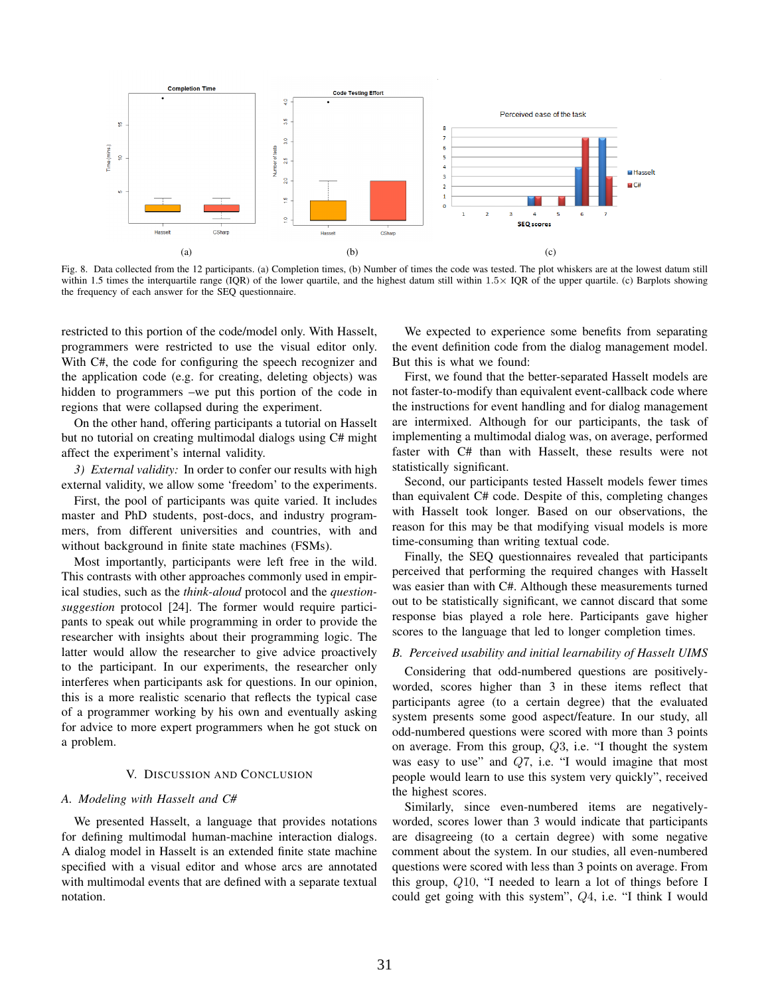

<span id="page-6-0"></span>Fig. 8. Data collected from the 12 participants. (a) Completion times, (b) Number of times the code was tested. The plot whiskers are at the lowest datum still within 1.5 times the interquartile range (IQR) of the lower quartile, and the highest datum still within  $1.5 \times$  IQR of the upper quartile. (c) Barplots showing the frequency of each answer for the SEQ questionnaire.

restricted to this portion of the code/model only. With Hasselt, programmers were restricted to use the visual editor only. With C#, the code for configuring the speech recognizer and the application code (e.g. for creating, deleting objects) was hidden to programmers –we put this portion of the code in regions that were collapsed during the experiment.

On the other hand, offering participants a tutorial on Hasselt but no tutorial on creating multimodal dialogs using C# might affect the experiment's internal validity.

*3) External validity:* In order to confer our results with high external validity, we allow some 'freedom' to the experiments.

First, the pool of participants was quite varied. It includes master and PhD students, post-docs, and industry programmers, from different universities and countries, with and without background in finite state machines (FSMs).

Most importantly, participants were left free in the wild. This contrasts with other approaches commonly used in empirical studies, such as the *think-aloud* protocol and the *questionsuggestion* protocol [\[24\]](#page-7-19). The former would require participants to speak out while programming in order to provide the researcher with insights about their programming logic. The latter would allow the researcher to give advice proactively to the participant. In our experiments, the researcher only interferes when participants ask for questions. In our opinion, this is a more realistic scenario that reflects the typical case of a programmer working by his own and eventually asking for advice to more expert programmers when he got stuck on a problem.

## V. DISCUSSION AND CONCLUSION

#### *A. Modeling with Hasselt and C#*

We presented Hasselt, a language that provides notations for defining multimodal human-machine interaction dialogs. A dialog model in Hasselt is an extended finite state machine specified with a visual editor and whose arcs are annotated with multimodal events that are defined with a separate textual notation.

We expected to experience some benefits from separating the event definition code from the dialog management model. But this is what we found:

First, we found that the better-separated Hasselt models are not faster-to-modify than equivalent event-callback code where the instructions for event handling and for dialog management are intermixed. Although for our participants, the task of implementing a multimodal dialog was, on average, performed faster with C# than with Hasselt, these results were not statistically significant.

Second, our participants tested Hasselt models fewer times than equivalent C# code. Despite of this, completing changes with Hasselt took longer. Based on our observations, the reason for this may be that modifying visual models is more time-consuming than writing textual code.

Finally, the SEQ questionnaires revealed that participants perceived that performing the required changes with Hasselt was easier than with C#. Although these measurements turned out to be statistically significant, we cannot discard that some response bias played a role here. Participants gave higher scores to the language that led to longer completion times.

## *B. Perceived usability and initial learnability of Hasselt UIMS*

Considering that odd-numbered questions are positivelyworded, scores higher than 3 in these items reflect that participants agree (to a certain degree) that the evaluated system presents some good aspect/feature. In our study, all odd-numbered questions were scored with more than 3 points on average. From this group,  $Q3$ , i.e. "I thought the system was easy to use" and Q7, i.e. "I would imagine that most people would learn to use this system very quickly", received the highest scores.

Similarly, since even-numbered items are negativelyworded, scores lower than 3 would indicate that participants are disagreeing (to a certain degree) with some negative comment about the system. In our studies, all even-numbered questions were scored with less than 3 points on average. From this group, Q10, "I needed to learn a lot of things before I could get going with this system", Q4, i.e. "I think I would